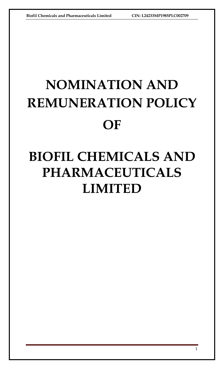# **NOMINATION AND REMUNERATION POLICY OF**

# **BIOFIL CHEMICALS AND PHARMACEUTICALS LIMITED**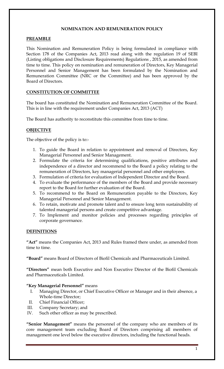# **NOMINATION AND REMUNERATION POLICY**

# **PREAMBLE**

This Nomination and Remuneration Policy is being formulated in compliance with Section 178 of the Companies Act, 2013 read along with the regulation 19 of SEBI (Listing obligations and Disclosure Requirements) Regulations , 2015, as amended from time to time. This policy on nomination and remuneration of Directors, Key Managerial Personnel and Senior Management has been formulated by the Nomination and Remuneration Committee (NRC or the Committee) and has been approved by the Board of Directors.

# **CONSTITUTION OF COMMITTEE**

The board has constituted the Nomination and Remuneration Committee of the Board. This is in line with the requirement under Companies Act, 2013 (ACT)

The Board has authority to reconstitute this committee from time to time.

# **OBJECTIVE**

The objective of the policy is to:-

- 1. To guide the Board in relation to appointment and removal of Directors, Key Managerial Personnel and Senior Management.
- 2. Formulate the criteria for determining qualifications, positive attributes and independence of a director and recommend to the Board a policy relating to the remuneration of Directors, key managerial personnel and other employees.
- 3. Formulation of criteria for evaluation of Independent Director and the Board.
- 4. To evaluate the performance of the members of the Board and provide necessary report to the Board for further evaluation of the Board.
- 5. To recommend to the Board on Remuneration payable to the Directors, Key Managerial Personnel and Senior Management.
- 6. To retain, motivate and promote talent and to ensure long term sustainability of talented managerial persons and create competitive advantage.
- 7. To Implement and monitor policies and processes regarding principles of corporate governance.

# **DEFINITIONS**

**"Act"** means the Companies Act, 2013 and Rules framed there under, as amended from time to time.

**"Board"** means Board of Directors of Biofil Chemicals and Pharmaceuticals Limited.

**"Directors"** mean both Executive and Non Executive Director of the Biofil Chemicals and Pharmaceuticals Limited.

#### **"Key Managerial Personnel"** means

- I. Managing Director, or Chief Executive Officer or Manager and in their absence, a Whole-time Director;
- II. Chief Financial Officer;
- III. Company Secretary; and
- IV. Such other officer as may be prescribed.

**"Senior Management"** means the personnel of the company who are members of its core management team excluding Board of Directors comprising all members of management one level below the executive directors, including the functional heads.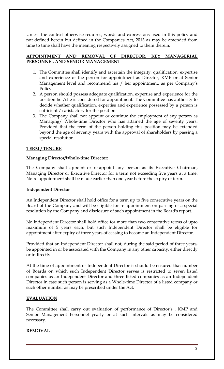Unless the context otherwise requires, words and expressions used in this policy and not defined herein but defined in the Companies Act, 2013 as may be amended from time to time shall have the meaning respectively assigned to them therein.

# **APPOINTMENT AND REMOVAL OF DIRECTOR, KEY MANAGERIAL PERSONNEL AND SENIOR MANAGEMENT**

- 1. The Committee shall identify and ascertain the integrity, qualification, expertise and experience of the person for appointment as Director, KMP or at Senior Management level and recommend his / her appointment, as per Company's Policy.
- 2. A person should possess adequate qualification, expertise and experience for the position he /she is considered for appointment. The Committee has authority to decide whether qualification, expertise and experience possessed by a person is sufficient / satisfactory for the position.
- 3. The Company shall not appoint or continue the employment of any person as Managing/ Whole-time Director who has attained the age of seventy years. Provided that the term of the person holding this position may be extended beyond the age of seventy years with the approval of shareholders by passing a special resolution.

# **TERM / TENURE**

# **Managing Director/Whole-time Director:**

The Company shall appoint or re-appoint any person as its Executive Chairman, Managing Director or Executive Director for a term not exceeding five years at a time. No re-appointment shall be made earlier than one year before the expiry of term.

# **Independent Director**

An Independent Director shall hold office for a term up to five consecutive years on the Board of the Company and will be eligible for re-appointment on passing of a special resolution by the Company and disclosure of such appointment in the Board's report.

No Independent Director shall hold office for more than two consecutive terms of upto maximum of 5 years each, but such Independent Director shall be eligible for appointment after expiry of three years of ceasing to become an Independent Director.

Provided that an Independent Director shall not, during the said period of three years, be appointed in or be associated with the Company in any other capacity, either directly or indirectly.

At the time of appointment of Independent Director it should be ensured that number of Boards on which such Independent Director serves is restricted to seven listed companies as an Independent Director and three listed companies as an Independent Director in case such person is serving as a Whole-time Director of a listed company or such other number as may be prescribed under the Act.

# **EVALUATION**

The Committee shall carry out evaluation of performance of Director's , KMP and Senior Management Personnel yearly or at such intervals as may be considered necessary.

# **REMOVAL**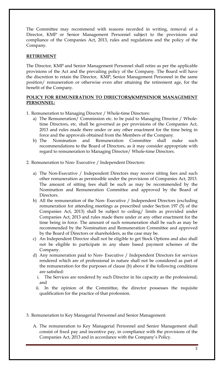The Committee may recommend with reasons recorded in writing, removal of a Director, KMP or Senior Management Personnel subject to the provisions and compliance of the Companies Act, 2013, rules and regulations and the policy of the Company.

#### **RETIREMENT**

The Director, KMP and Senior Management Personnel shall retire as per the applicable provisions of the Act and the prevailing policy of the Company. The Board will have the discretion to retain the Director, KMP, Senior Management Personnel in the same position/ remuneration or otherwise even after attaining the retirement age, for the benefit of the Company.

# **POLICY FOR REMUNERATION TO DIRECTORS/KMP/SENIOR MANAGEMENT PERSONNEL:**

- 1. Remuneration to Managing Director / Whole-time Directors:
	- a) The Remuneration/ Commission etc. to be paid to Managing Director / Wholetime Directors, etc. shall be governed as per provisions of the Companies Act, 2013 and rules made there under or any other enactment for the time being in force and the approvals obtained from the Members of the Company.
	- b) The Nomination and Remuneration Committee shall make such recommendations to the Board of Directors, as it may consider appropriate with regard to remuneration to Managing Director/ Whole-time Directors.
- 2. Remuneration to Non- Executive / Independent Directors:
	- a) The Non-Executive / Independent Directors may receive sitting fees and such other remuneration as permissible under the provisions of Companies Act, 2013. The amount of sitting fees shall be such as may be recommended by the Nomination and Remuneration Committee and approved by the Board of Directors.
	- b) All the remuneration of the Non- Executive / Independent Directors (excluding remuneration for attending meetings as prescribed under Section 197 (5) of the Companies Act, 2013) shall be subject to ceiling/ limits as provided under Companies Act, 2013 and rules made there under or any other enactment for the time being in force. The amount of such remuneration shall be such as may be recommended by the Nomination and Remuneration Committee and approved by the Board of Directors or shareholders, as the case may be.
	- c) An Independent Director shall not be eligible to get Stock Options and also shall not be eligible to participate in any share based payment schemes of the Company.
	- d) Any remuneration paid to Non- Executive / Independent Directors for services rendered which are of professional in nature shall not be considered as part of the remuneration for the purposes of clause (b) above if the following conditions are satisfied:
		- i. The Services are rendered by such Director in his capacity as the professional; and
		- ii. In the opinion of the Committee, the director possesses the requisite qualification for the practice of that profession.
- 3. Remuneration to Key Managerial Personnel and Senior Management:
	- A. The remuneration to Key Managerial Personnel and Senior Management shall consist of fixed pay and incentive pay, in compliance with the provisions of the Companies Act, 2013 and in accordance with the Company's Policy.